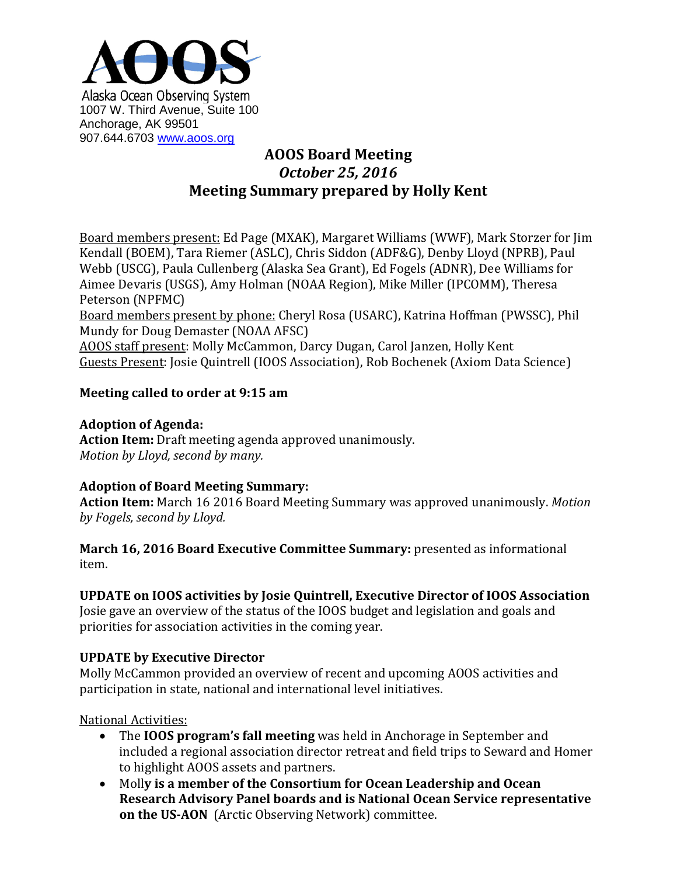

# **AOOS Board Meeting** *October 25, 2016* **Meeting Summary prepared by Holly Kent**

Board members present: Ed Page (MXAK), Margaret Williams (WWF), Mark Storzer for Jim Kendall (BOEM), Tara Riemer (ASLC), Chris Siddon (ADF&G), Denby Lloyd (NPRB), Paul Webb (USCG), Paula Cullenberg (Alaska Sea Grant), Ed Fogels (ADNR), Dee Williams for Aimee Devaris (USGS), Amy Holman (NOAA Region), Mike Miller (IPCOMM), Theresa Peterson (NPFMC)

Board members present by phone: Cheryl Rosa (USARC), Katrina Hoffman (PWSSC), Phil Mundy for Doug Demaster (NOAA AFSC)

AOOS staff present: Molly McCammon, Darcy Dugan, Carol Janzen, Holly Kent Guests Present: Josie Quintrell (IOOS Association), Rob Bochenek (Axiom Data Science)

## **Meeting called to order at 9:15 am**

## **Adoption of Agenda:**

**Action Item:** Draft meeting agenda approved unanimously. *Motion by Lloyd, second by many.*

## **Adoption of Board Meeting Summary:**

**Action Item:** March 16 2016 Board Meeting Summary was approved unanimously. *Motion by Fogels, second by Lloyd.*

**March 16, 2016 Board Executive Committee Summary:** presented as informational item.

## **UPDATE on IOOS activities by Josie Quintrell, Executive Director of IOOS Association**

Josie gave an overview of the status of the IOOS budget and legislation and goals and priorities for association activities in the coming year.

## **UPDATE by Executive Director**

Molly McCammon provided an overview of recent and upcoming AOOS activities and participation in state, national and international level initiatives.

National Activities:

- The **IOOS program's fall meeting** was held in Anchorage in September and included a regional association director retreat and field trips to Seward and Homer to highlight AOOS assets and partners.
- Moll**y is a member of the Consortium for Ocean Leadership and Ocean Research Advisory Panel boards and is National Ocean Service representative on the US-AON** (Arctic Observing Network) committee.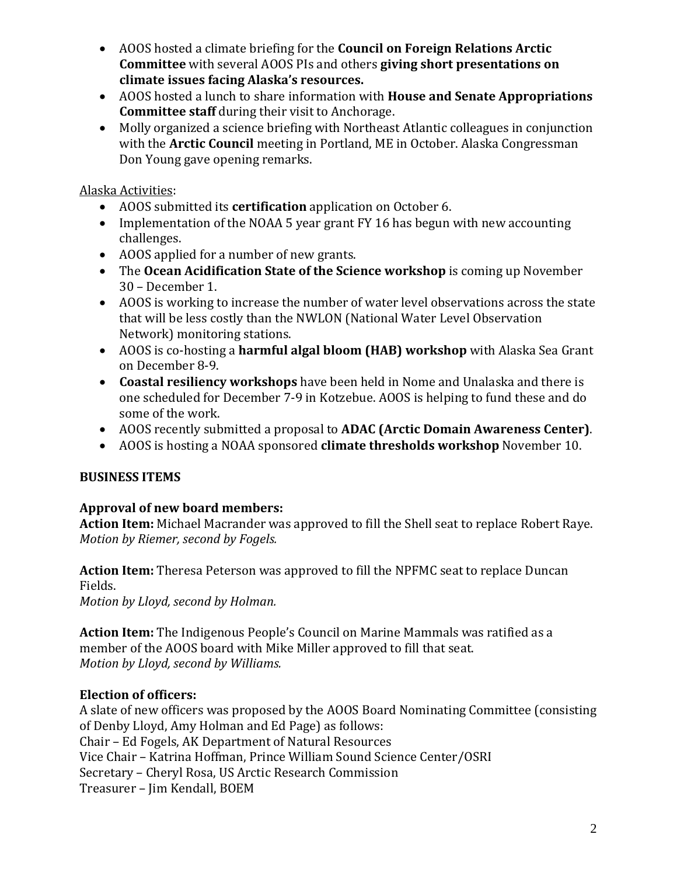- AOOS hosted a climate briefing for the **Council on Foreign Relations Arctic Committee** with several AOOS PIs and others **giving short presentations on climate issues facing Alaska's resources.**
- AOOS hosted a lunch to share information with **House and Senate Appropriations Committee staff** during their visit to Anchorage.
- Molly organized a science briefing with Northeast Atlantic colleagues in conjunction with the **Arctic Council** meeting in Portland, ME in October. Alaska Congressman Don Young gave opening remarks.

Alaska Activities:

- AOOS submitted its **certification** application on October 6.
- Implementation of the NOAA 5 year grant FY 16 has begun with new accounting challenges.
- AOOS applied for a number of new grants.
- The **Ocean Acidification State of the Science workshop** is coming up November 30 – December 1.
- AOOS is working to increase the number of water level observations across the state that will be less costly than the NWLON (National Water Level Observation Network) monitoring stations.
- AOOS is co-hosting a **harmful algal bloom (HAB) workshop** with Alaska Sea Grant on December 8-9.
- **Coastal resiliency workshops** have been held in Nome and Unalaska and there is one scheduled for December 7-9 in Kotzebue. AOOS is helping to fund these and do some of the work.
- AOOS recently submitted a proposal to **ADAC (Arctic Domain Awareness Center)**.
- AOOS is hosting a NOAA sponsored **climate thresholds workshop** November 10.

## **BUSINESS ITEMS**

## **Approval of new board members:**

**Action Item:** Michael Macrander was approved to fill the Shell seat to replace Robert Raye. *Motion by Riemer, second by Fogels.*

**Action Item:** Theresa Peterson was approved to fill the NPFMC seat to replace Duncan Fields.

*Motion by Lloyd, second by Holman.*

**Action Item:** The Indigenous People's Council on Marine Mammals was ratified as a member of the AOOS board with Mike Miller approved to fill that seat. *Motion by Lloyd, second by Williams.*

#### **Election of officers:**

A slate of new officers was proposed by the AOOS Board Nominating Committee (consisting of Denby Lloyd, Amy Holman and Ed Page) as follows: Chair – Ed Fogels, AK Department of Natural Resources Vice Chair – Katrina Hoffman, Prince William Sound Science Center/OSRI Secretary – Cheryl Rosa, US Arctic Research Commission Treasurer – Jim Kendall, BOEM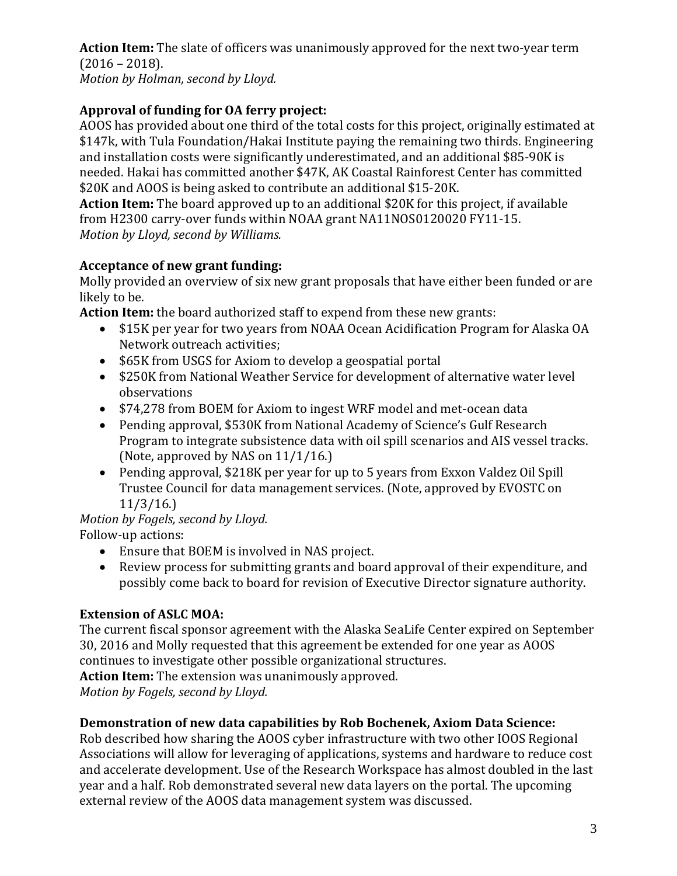**Action Item:** The slate of officers was unanimously approved for the next two-year term (2016 – 2018).

*Motion by Holman, second by Lloyd.*

# **Approval of funding for OA ferry project:**

AOOS has provided about one third of the total costs for this project, originally estimated at \$147k, with Tula Foundation/Hakai Institute paying the remaining two thirds. Engineering and installation costs were significantly underestimated, and an additional \$85-90K is needed. Hakai has committed another \$47K, AK Coastal Rainforest Center has committed \$20K and AOOS is being asked to contribute an additional \$15-20K.

**Action Item:** The board approved up to an additional \$20K for this project, if available from H2300 carry-over funds within NOAA grant NA11NOS0120020 FY11-15. *Motion by Lloyd, second by Williams.*

## **Acceptance of new grant funding:**

Molly provided an overview of six new grant proposals that have either been funded or are likely to be.

**Action Item:** the board authorized staff to expend from these new grants:

- \$15K per year for two years from NOAA Ocean Acidification Program for Alaska OA Network outreach activities;
- \$65K from USGS for Axiom to develop a geospatial portal
- \$250K from National Weather Service for development of alternative water level observations
- \$74,278 from BOEM for Axiom to ingest WRF model and met-ocean data
- Pending approval, \$530K from National Academy of Science's Gulf Research Program to integrate subsistence data with oil spill scenarios and AIS vessel tracks. (Note, approved by NAS on 11/1/16.)
- Pending approval, \$218K per year for up to 5 years from Exxon Valdez Oil Spill Trustee Council for data management services. (Note, approved by EVOSTC on 11/3/16.)

# *Motion by Fogels, second by Lloyd.*

Follow-up actions:

- Ensure that BOEM is involved in NAS project.
- Review process for submitting grants and board approval of their expenditure, and possibly come back to board for revision of Executive Director signature authority.

# **Extension of ASLC MOA:**

The current fiscal sponsor agreement with the Alaska SeaLife Center expired on September 30, 2016 and Molly requested that this agreement be extended for one year as AOOS continues to investigate other possible organizational structures.

**Action Item:** The extension was unanimously approved.

*Motion by Fogels, second by Lloyd.*

## **Demonstration of new data capabilities by Rob Bochenek, Axiom Data Science:**

Rob described how sharing the AOOS cyber infrastructure with two other IOOS Regional Associations will allow for leveraging of applications, systems and hardware to reduce cost and accelerate development. Use of the Research Workspace has almost doubled in the last year and a half. Rob demonstrated several new data layers on the portal. The upcoming external review of the AOOS data management system was discussed.